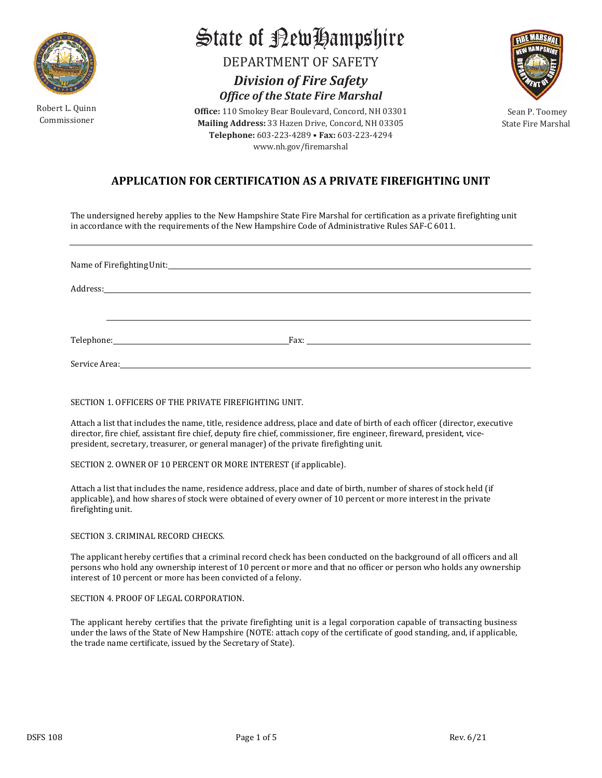

Robert L. Quinn

State of RewHampshire

DEPARTMENT OF SAFETY

*Division of Fire Safety Office of the State Fire Marshal*

Copert L. Gamm<br>Commissioner **Sean P. Toomey Sean P. Toomey Sean P. Toomey**<br>Commissioner State Fire Marsha **Office:** 110 Smokey Bear Boulevard, Concord, NH 03301 **Telephone:** 603-223-4289 • **Fax:** 603-223-4294 [www.nh.gov/fire](http://www.nh.gov/firesafety)marshal

**SE MARS** 

State Fire Marshal

# **APPLICATION FOR CERTIFICATION AS A PRIVATE FIREFIGHTING UNIT**

The undersigned hereby applies to the New Hampshire State Fire Marshal for certification as a private firefighting unit in accordance with the requirements of the New Hampshire Code of Administrative Rules SAF-C 6011.

Name of FirefightingUnit: Address: Telephone: Fax: Service Area:

## SECTION 1. OFFICERS OF THE PRIVATE FIREFIGHTING UNIT.

Attach a list that includes the name, title, residence address, place and date of birth of each officer (director, executive director, fire chief, assistant fire chief, deputy fire chief, commissioner, fire engineer, fireward, president, vicepresident, secretary, treasurer, or general manager) of the private firefighting unit.

SECTION 2. OWNER OF 10 PERCENT OR MORE INTEREST (if applicable).

Attach a list that includes the name, residence address, place and date of birth, number of shares of stock held (if applicable), and how shares of stock were obtained of every owner of 10 percent or more interest in the private firefighting unit.

SECTION 3. CRIMINAL RECORD CHECKS.

The applicant hereby certifies that a criminal record check has been conducted on the background of all officers and all persons who hold any ownership interest of 10 percent or more and that no officer or person who holds any ownership interest of 10 percent or more has been convicted of a felony.

## SECTION 4. PROOF OF LEGAL CORPORATION.

The applicant hereby certifies that the private firefighting unit is a legal corporation capable of transacting business under the laws of the State of New Hampshire (NOTE: attach copy of the certificate of good standing, and, if applicable, the trade name certificate, issued by the Secretary of State).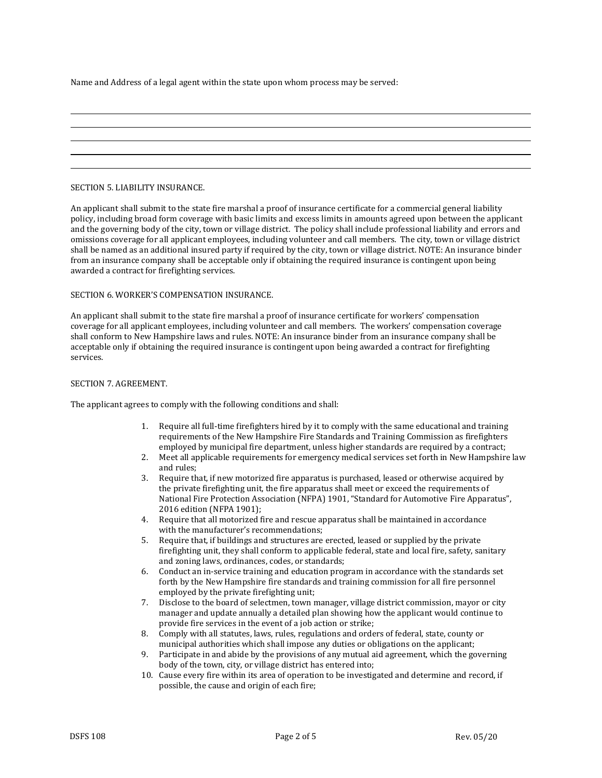Name and Address of a legal agent within the state upon whom process may be served:

#### SECTION 5. LIABILITY INSURANCE.

An applicant shall submit to the state fire marshal a proof of insurance certificate for a commercial general liability policy, including broad form coverage with basic limits and excess limits in amounts agreed upon between the applicant and the governing body of the city, town or village district. The policy shall include professional liability and errors and omissions coverage for all applicant employees, including volunteer and call members. The city, town or village district shall be named as an additional insured party if required by the city, town or village district. NOTE: An insurance binder from an insurance company shall be acceptable only if obtaining the required insurance is contingent upon being awarded a contract for firefighting services.

## SECTION 6. WORKER'S COMPENSATION INSURANCE.

An applicant shall submit to the state fire marshal a proof of insurance certificate for workers' compensation coverage for all applicant employees, including volunteer and call members. The workers' compensation coverage shall conform to New Hampshire laws and rules. NOTE: An insurance binder from an insurance company shall be acceptable only if obtaining the required insurance is contingent upon being awarded a contract for firefighting services.

#### SECTION 7. AGREEMENT.

The applicant agrees to comply with the following conditions and shall:

- 1. Require all full-time firefighters hired by it to comply with the same educational and training requirements of the New Hampshire Fire Standards and Training Commission as firefighters employed by municipal fire department, unless higher standards are required by a contract;
- 2. Meet all applicable requirements for emergency medical services set forth in New Hampshire law and rules;
- 3. Require that, if new motorized fire apparatus is purchased, leased or otherwise acquired by the private firefighting unit, the fire apparatus shall meet or exceed the requirements of National Fire Protection Association (NFPA) 1901, "Standard for Automotive Fire Apparatus", 2016 edition (NFPA 1901);
- 4. Require that all motorized fire and rescue apparatus shall be maintained in accordance with the manufacturer's recommendations;
- 5. Require that, if buildings and structures are erected, leased or supplied by the private firefighting unit, they shall conform to applicable federal, state and local fire, safety, sanitary and zoning laws, ordinances, codes, or standards;
- 6. Conduct an in-service training and education program in accordance with the standards set forth by the New Hampshire fire standards and training commission for all fire personnel employed by the private firefighting unit;
- 7. Disclose to the board of selectmen, town manager, village district commission, mayor or city manager and update annually a detailed plan showing how the applicant would continue to provide fire services in the event of a job action or strike;
- 8. Comply with all statutes, laws, rules, regulations and orders of federal, state, county or municipal authorities which shall impose any duties or obligations on the applicant;
- 9. Participate in and abide by the provisions of any mutual aid agreement, which the governing body of the town, city, or village district has entered into;
- 10. Cause every fire within its area of operation to be investigated and determine and record, if possible, the cause and origin of each fire;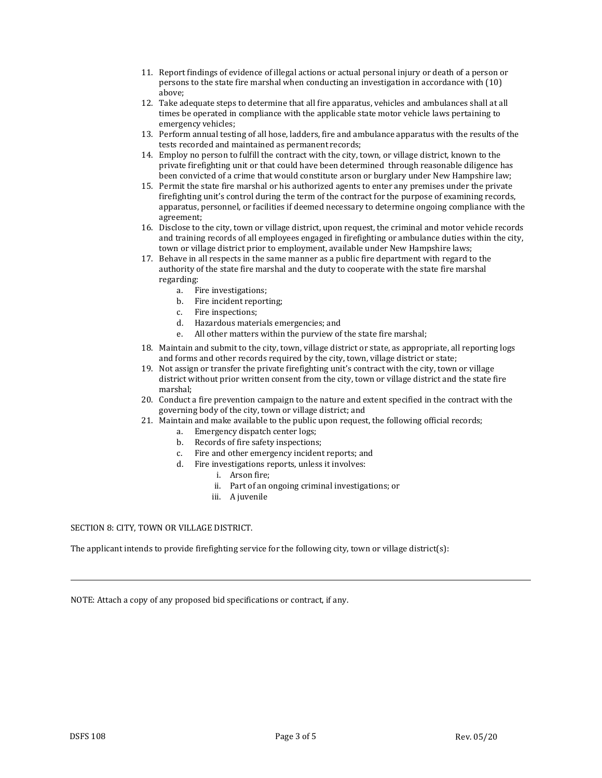- 11. Report findings of evidence of illegal actions or actual personal injury or death of a person or persons to the state fire marshal when conducting an investigation in accordance with (10) above;
- 12. Take adequate steps to determine that all fire apparatus, vehicles and ambulances shall at all times be operated in compliance with the applicable state motor vehicle laws pertaining to emergency vehicles;
- 13. Perform annual testing of all hose, ladders, fire and ambulance apparatus with the results of the tests recorded and maintained as permanent records;
- 14. Employ no person to fulfill the contract with the city, town, or village district, known to the private firefighting unit or that could have been determined through reasonable diligence has been convicted of a crime that would constitute arson or burglary under New Hampshire law;
- 15. Permit the state fire marshal or his authorized agents to enter any premises under the private firefighting unit's control during the term of the contract for the purpose of examining records, apparatus, personnel, or facilities if deemed necessary to determine ongoing compliance with the agreement;
- 16. Disclose to the city, town or village district, upon request, the criminal and motor vehicle records and training records of all employees engaged in firefighting or ambulance duties within the city, town or village district prior to employment, available under New Hampshire laws;
- 17. Behave in all respects in the same manner as a public fire department with regard to the authority of the state fire marshal and the duty to cooperate with the state fire marshal regarding:
	- a. Fire investigations;
	- b. Fire incident reporting;
	- c. Fire inspections;
	- d. Hazardous materials emergencies; and<br>e All other matters within the purview of
	- All other matters within the purview of the state fire marshal;
- 18. Maintain and submit to the city, town, village district or state, as appropriate, all reporting logs and forms and other records required by the city, town, village district or state;
- 19. Not assign or transfer the private firefighting unit's contract with the city, town or village district without prior written consent from the city, town or village district and the state fire marshal;
- 20. Conduct a fire prevention campaign to the nature and extent specified in the contract with the governing body of the city, town or village district; and
- 21. Maintain and make available to the public upon request, the following official records;
	- a. Emergency dispatch center logs;
	- b. Records of fire safety inspections;
	- c. Fire and other emergency incident reports; and
	- d. Fire investigations reports, unless it involves:
		- i. Arson fire;
		- ii. Part of an ongoing criminal investigations; or
		- iii. A juvenile

## SECTION 8: CITY, TOWN OR VILLAGE DISTRICT.

The applicant intends to provide firefighting service for the following city, town or village district(s):

NOTE: Attach a copy of any proposed bid specifications or contract, if any.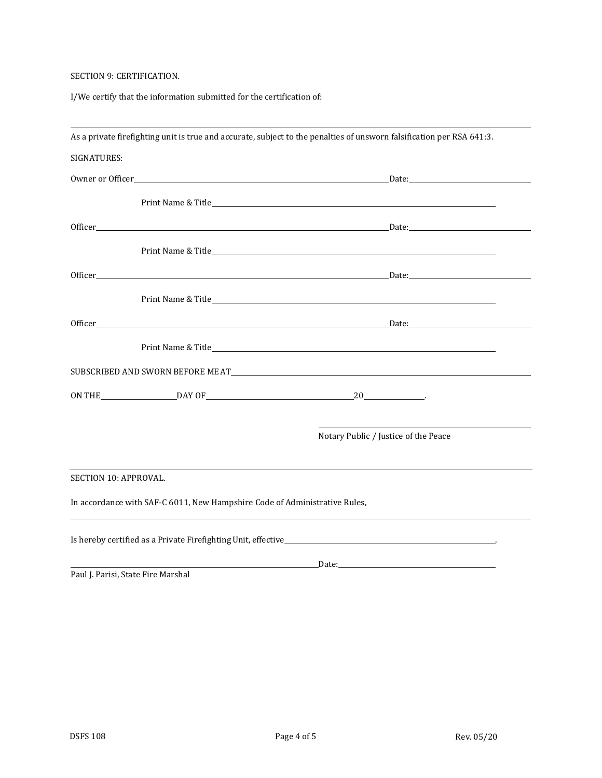# SECTION 9: CERTIFICATION.

I/We certify that the information submitted for the certification of:

|                       |                                                                            | As a private firefighting unit is true and accurate, subject to the penalties of unsworn falsification per RSA 641:3.                                                                                                                |
|-----------------------|----------------------------------------------------------------------------|--------------------------------------------------------------------------------------------------------------------------------------------------------------------------------------------------------------------------------------|
| SIGNATURES:           |                                                                            |                                                                                                                                                                                                                                      |
|                       |                                                                            |                                                                                                                                                                                                                                      |
|                       |                                                                            |                                                                                                                                                                                                                                      |
|                       |                                                                            |                                                                                                                                                                                                                                      |
|                       |                                                                            |                                                                                                                                                                                                                                      |
|                       |                                                                            |                                                                                                                                                                                                                                      |
|                       |                                                                            |                                                                                                                                                                                                                                      |
|                       |                                                                            |                                                                                                                                                                                                                                      |
|                       |                                                                            |                                                                                                                                                                                                                                      |
|                       |                                                                            | SUBSCRIBED AND SWORN BEFORE MEAT <b>AND SUBSCRIBED AND SWORN BEFORE MEAT</b>                                                                                                                                                         |
|                       |                                                                            | ON THE DAY OF DAY OF 20                                                                                                                                                                                                              |
|                       |                                                                            | Notary Public / Justice of the Peace                                                                                                                                                                                                 |
| SECTION 10: APPROVAL. |                                                                            |                                                                                                                                                                                                                                      |
|                       | In accordance with SAF-C 6011, New Hampshire Code of Administrative Rules, |                                                                                                                                                                                                                                      |
|                       |                                                                            |                                                                                                                                                                                                                                      |
|                       | Paul J. Parisi, State Fire Marshal                                         | <u>Date: Example 2014 and 2014 and 2014 and 2014 and 2014 and 2014 and 2014 and 2014 and 2014 and 2014 and 2014 and 2014 and 2014 and 2014 and 2014 and 2014 and 2014 and 2014 and 2014 and 2014 and 2014 and 2014 and 2014 and </u> |